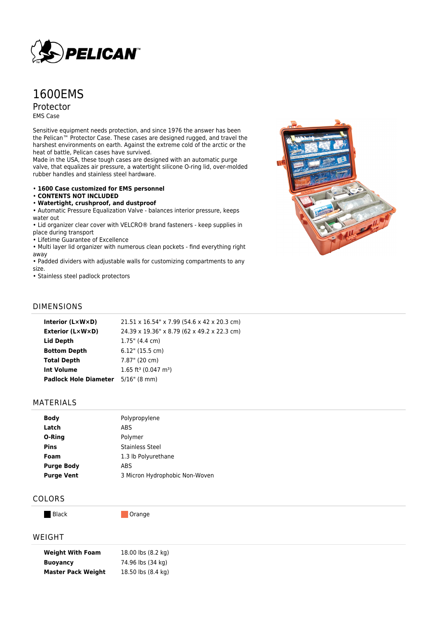

# 1600EMS

Protector EMS Case

Sensitive equipment needs protection, and since 1976 the answer has been the Pelican™ Protector Case. These cases are designed rugged, and travel the harshest environments on earth. Against the extreme cold of the arctic or the heat of battle, Pelican cases have survived.

Made in the USA, these tough cases are designed with an automatic purge valve, that equalizes air pressure, a watertight silicone O-ring lid, over-molded rubber handles and stainless steel hardware.

#### • **1600 Case customized for EMS personnel**

#### • **CONTENTS NOT INCLUDED**

• **Watertight, crushproof, and dustproof**

• Automatic Pressure Equalization Valve - balances interior pressure, keeps water out

• Lid organizer clear cover with VELCRO® brand fasteners - keep supplies in place during transport

• Lifetime Guarantee of Excellence

• Multi layer lid organizer with numerous clean pockets - find everything right away

• Padded dividers with adjustable walls for customizing compartments to any size.

• Stainless steel padlock protectors



## DIMENSIONS

| Interior $(L \times W \times D)$          | 21.51 x 16.54" x 7.99 (54.6 x 42 x 20.3 cm)    |
|-------------------------------------------|------------------------------------------------|
| <b>Exterior (L×W×D)</b>                   | 24.39 x 19.36" x 8.79 (62 x 49.2 x 22.3 cm)    |
| <b>Lid Depth</b>                          | $1.75$ " (4.4 cm)                              |
| <b>Bottom Depth</b>                       | $6.12"$ (15.5 cm)                              |
| <b>Total Depth</b>                        | 7.87" (20 cm)                                  |
| <b>Int Volume</b>                         | $1.65$ ft <sup>3</sup> (0.047 m <sup>3</sup> ) |
| <b>Padlock Hole Diameter</b> 5/16" (8 mm) |                                                |
|                                           |                                                |

#### MATERIALS

| Polypropylene                  |
|--------------------------------|
| <b>ABS</b>                     |
| Polymer                        |
| <b>Stainless Steel</b>         |
| 1.3 lb Polyurethane            |
| <b>ABS</b>                     |
| 3 Micron Hydrophobic Non-Woven |
|                                |

## COLORS

Black **Dramage** Orange

### WEIGHT

| <b>Weight With Foam</b>   | 18.00 lbs (8.2 kg) |
|---------------------------|--------------------|
| <b>Buoyancy</b>           | 74.96 lbs (34 kg)  |
| <b>Master Pack Weight</b> | 18.50 lbs (8.4 kg) |